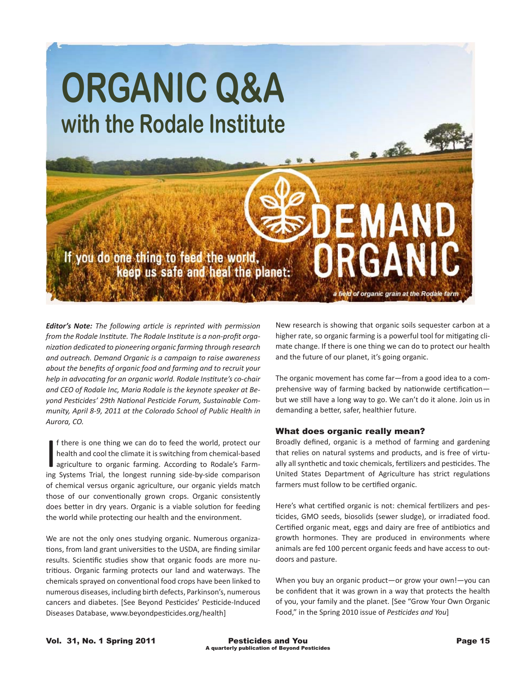

*Editor's Note: The following article is reprinted with permission from the Rodale Institute. The Rodale Institute is a non-profit organization dedicated to pioneering organic farming through research and outreach. Demand Organic is a campaign to raise awareness about the benefits of organic food and farming and to recruit your help in advocating for an organic world. Rodale Institute's co-chair and CEO of Rodale Inc, Maria Rodale is the keynote speaker at Beyond Pesticides' 29th National Pesticide Forum, Sustainable Community, April 8-9, 2011 at the Colorado School of Public Health in Aurora, CO.*

If there is one thing we can do to feed the world, protect our health and cool the climate it is switching from chemical-based agriculture to organic farming. According to Rodale's Farming Systems Trial, the longest runnin f there is one thing we can do to feed the world, protect our health and cool the climate it is switching from chemical-based agriculture to organic farming. According to Rodale's Farmof chemical versus organic agriculture, our organic yields match those of our conventionally grown crops. Organic consistently does better in dry years. Organic is a viable solution for feeding the world while protecting our health and the environment.

We are not the only ones studying organic. Numerous organizations, from land grant universities to the USDA, are finding similar results. Scientific studies show that organic foods are more nutritious. Organic farming protects our land and waterways. The chemicals sprayed on conventional food crops have been linked to numerous diseases, including birth defects, Parkinson's, numerous cancers and diabetes. [See Beyond Pesticides' Pesticide-Induced Diseases Database, www.beyondpesticides.org/health]

New research is showing that organic soils sequester carbon at a higher rate, so organic farming is a powerful tool for mitigating climate change. If there is one thing we can do to protect our health and the future of our planet, it's going organic.

The organic movement has come far—from a good idea to a comprehensive way of farming backed by nationwide certification but we still have a long way to go. We can't do it alone. Join us in demanding a better, safer, healthier future.

#### What does organic really mean?

Broadly defined, organic is a method of farming and gardening that relies on natural systems and products, and is free of virtually all synthetic and toxic chemicals, fertilizers and pesticides. The United States Department of Agriculture has strict regulations farmers must follow to be certified organic.

Here's what certified organic is not: chemical fertilizers and pesticides, GMO seeds, biosolids (sewer sludge), or irradiated food. Certified organic meat, eggs and dairy are free of antibiotics and growth hormones. They are produced in environments where animals are fed 100 percent organic feeds and have access to outdoors and pasture.

When you buy an organic product—or grow your own!—you can be confident that it was grown in a way that protects the health of you, your family and the planet. [See "Grow Your Own Organic Food," in the Spring 2010 issue of *Pesticides and You*]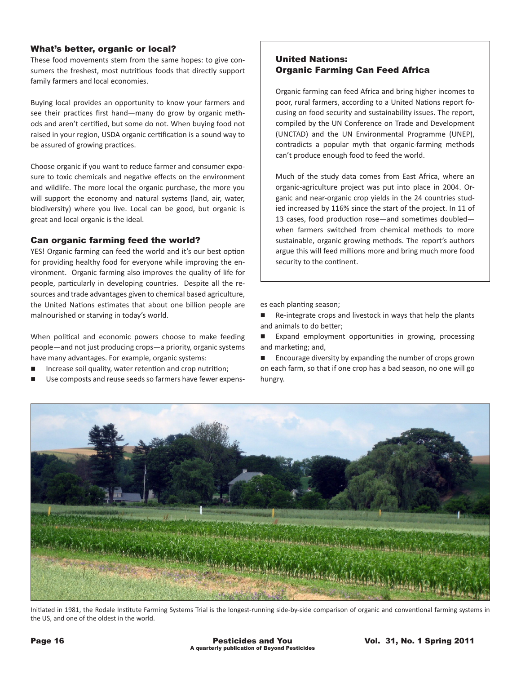# What's better, organic or local?

These food movements stem from the same hopes: to give consumers the freshest, most nutritious foods that directly support family farmers and local economies.

Buying local provides an opportunity to know your farmers and see their practices first hand—many do grow by organic methods and aren't certified, but some do not. When buying food not raised in your region, USDA organic certification is a sound way to be assured of growing practices.

Choose organic if you want to reduce farmer and consumer exposure to toxic chemicals and negative effects on the environment and wildlife. The more local the organic purchase, the more you will support the economy and natural systems (land, air, water, biodiversity) where you live. Local can be good, but organic is great and local organic is the ideal.

## Can organic farming feed the world?

YES! Organic farming can feed the world and it's our best option for providing healthy food for everyone while improving the environment. Organic farming also improves the quality of life for people, particularly in developing countries. Despite all the resources and trade advantages given to chemical based agriculture, the United Nations estimates that about one billion people are malnourished or starving in today's world.

When political and economic powers choose to make feeding people—and not just producing crops—a priority, organic systems have many advantages. For example, organic systems:

- Increase soil quality, water retention and crop nutrition;
- Use composts and reuse seeds so farmers have fewer expens-

# United Nations: Organic Farming Can Feed Africa

Organic farming can feed Africa and bring higher incomes to poor, rural farmers, according to a United Nations report focusing on food security and sustainability issues. The report, compiled by the UN Conference on Trade and Development (UNCTAD) and the UN Environmental Programme (UNEP), contradicts a popular myth that organic-farming methods can't produce enough food to feed the world.

Much of the study data comes from East Africa, where an organic-agriculture project was put into place in 2004. Organic and near-organic crop yields in the 24 countries studied increased by 116% since the start of the project. In 11 of 13 cases, food production rose—and sometimes doubled when farmers switched from chemical methods to more sustainable, organic growing methods. The report's authors argue this will feed millions more and bring much more food security to the continent.

es each planting season;

Re-integrate crops and livestock in ways that help the plants and animals to do better;

Expand employment opportunities in growing, processing and marketing; and,

 $\blacksquare$  Encourage diversity by expanding the number of crops grown on each farm, so that if one crop has a bad season, no one will go hungry.



Initiated in 1981, the Rodale Institute Farming Systems Trial is the longest-running side-by-side comparison of organic and conventional farming systems in the US, and one of the oldest in the world.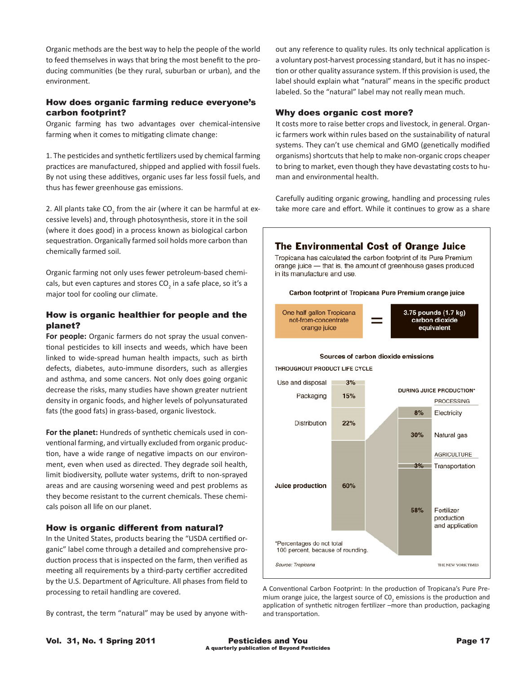Organic methods are the best way to help the people of the world to feed themselves in ways that bring the most benefit to the producing communities (be they rural, suburban or urban), and the environment.

# How does organic farming reduce everyone's carbon footprint?

Organic farming has two advantages over chemical-intensive farming when it comes to mitigating climate change:

1. The pesticides and synthetic fertilizers used by chemical farming practices are manufactured, shipped and applied with fossil fuels. By not using these additives, organic uses far less fossil fuels, and thus has fewer greenhouse gas emissions.

2. All plants take CO<sub>2</sub> from the air (where it can be harmful at excessive levels) and, through photosynthesis, store it in the soil (where it does good) in a process known as biological carbon sequestration. Organically farmed soil holds more carbon than chemically farmed soil.

Organic farming not only uses fewer petroleum-based chemicals, but even captures and stores CO<sub>2</sub> in a safe place, so it's a major tool for cooling our climate.

# How is organic healthier for people and the planet?

**For people:** Organic farmers do not spray the usual conventional pesticides to kill insects and weeds, which have been linked to wide-spread human health impacts, such as birth defects, diabetes, auto-immune disorders, such as allergies and asthma, and some cancers. Not only does going organic decrease the risks, many studies have shown greater nutrient density in organic foods, and higher levels of polyunsaturated fats (the good fats) in grass-based, organic livestock.

**For the planet:** Hundreds of synthetic chemicals used in conventional farming, and virtually excluded from organic production, have a wide range of negative impacts on our environment, even when used as directed. They degrade soil health, limit biodiversity, pollute water systems, drift to non-sprayed areas and are causing worsening weed and pest problems as they become resistant to the current chemicals. These chemicals poison all life on our planet.

#### How is organic different from natural?

In the United States, products bearing the "USDA certified organic" label come through a detailed and comprehensive production process that is inspected on the farm, then verified as meeting all requirements by a third-party certifier accredited by the U.S. Department of Agriculture. All phases from field to processing to retail handling are covered.

By contrast, the term "natural" may be used by anyone with-

out any reference to quality rules. Its only technical application is a voluntary post-harvest processing standard, but it has no inspection or other quality assurance system. If this provision is used, the label should explain what "natural" means in the specific product labeled. So the "natural" label may not really mean much.

#### Why does organic cost more?

It costs more to raise better crops and livestock, in general. Organic farmers work within rules based on the sustainability of natural systems. They can't use chemical and GMO (genetically modified organisms) shortcuts that help to make non-organic crops cheaper to bring to market, even though they have devastating costs to human and environmental health.

Carefully auditing organic growing, handling and processing rules take more care and effort. While it continues to grow as a share



A Conventional Carbon Footprint: In the production of Tropicana's Pure Premium orange juice, the largest source of  $\textsf{CO}_2$  emissions is the production and application of synthetic nitrogen fertilizer –more than production, packaging and transportation.